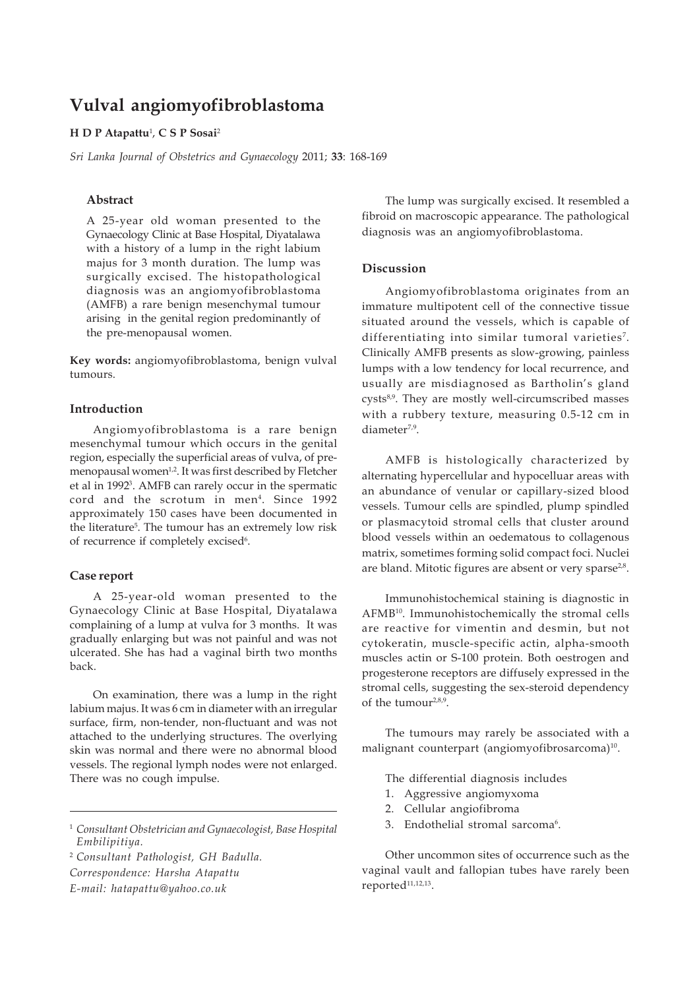# **Vulval angiomyofibroblastoma**

#### **H D P Atapattu**<sup>1</sup> , **C S P Sosai**<sup>2</sup>

*Sri Lanka Journal of Obstetrics and Gynaecology* 2011; **33**: 168-169

# **Abstract**

A 25-year old woman presented to the Gynaecology Clinic at Base Hospital, Diyatalawa with a history of a lump in the right labium majus for 3 month duration. The lump was surgically excised. The histopathological diagnosis was an angiomyofibroblastoma (AMFB) a rare benign mesenchymal tumour arising in the genital region predominantly of the pre-menopausal women.

**Key words:** angiomyofibroblastoma, benign vulval tumours.

# **Introduction**

Angiomyofibroblastoma is a rare benign mesenchymal tumour which occurs in the genital region, especially the superficial areas of vulva, of premenopausal women<sup>1,2</sup>. It was first described by Fletcher et al in 19923 . AMFB can rarely occur in the spermatic cord and the scrotum in men4 . Since 1992 approximately 150 cases have been documented in the literature<sup>5</sup>. The tumour has an extremely low risk of recurrence if completely excised<sup>6</sup>.

### **Case report**

A 25-year-old woman presented to the Gynaecology Clinic at Base Hospital, Diyatalawa complaining of a lump at vulva for 3 months. It was gradually enlarging but was not painful and was not ulcerated. She has had a vaginal birth two months back.

On examination, there was a lump in the right labium majus. It was 6 cm in diameter with an irregular surface, firm, non-tender, non-fluctuant and was not attached to the underlying structures. The overlying skin was normal and there were no abnormal blood vessels. The regional lymph nodes were not enlarged. There was no cough impulse.

<sup>2</sup> *Consultant Pathologist, GH Badulla.*

*Correspondence: Harsha Atapattu E-mail: hatapattu@yahoo.co.uk*

The lump was surgically excised. It resembled a fibroid on macroscopic appearance. The pathological diagnosis was an angiomyofibroblastoma.

#### **Discussion**

Angiomyofibroblastoma originates from an immature multipotent cell of the connective tissue situated around the vessels, which is capable of differentiating into similar tumoral varieties<sup>7</sup>. Clinically AMFB presents as slow-growing, painless lumps with a low tendency for local recurrence, and usually are misdiagnosed as Bartholin's gland cysts<sup>8,9</sup>. They are mostly well-circumscribed masses with a rubbery texture, measuring 0.5-12 cm in diameter<sup>7,9</sup>.

AMFB is histologically characterized by alternating hypercellular and hypocelluar areas with an abundance of venular or capillary-sized blood vessels. Tumour cells are spindled, plump spindled or plasmacytoid stromal cells that cluster around blood vessels within an oedematous to collagenous matrix, sometimes forming solid compact foci. Nuclei are bland. Mitotic figures are absent or very sparse<sup>2,8</sup>.

Immunohistochemical staining is diagnostic in AFMB10. Immunohistochemically the stromal cells are reactive for vimentin and desmin, but not cytokeratin, muscle-specific actin, alpha-smooth muscles actin or S-100 protein. Both oestrogen and progesterone receptors are diffusely expressed in the stromal cells, suggesting the sex-steroid dependency of the tumour<sup>2,8,9</sup>.

The tumours may rarely be associated with a malignant counterpart (angiomyofibrosarcoma)<sup>10</sup>.

The differential diagnosis includes

- 1. Aggressive angiomyxoma
- 2. Cellular angiofibroma
- 3. Endothelial stromal sarcoma<sup>6</sup>.

Other uncommon sites of occurrence such as the vaginal vault and fallopian tubes have rarely been reported<sup>11,12,13</sup>.

<sup>1</sup> *Consultant Obstetrician and Gynaecologist, Base Hospital Embilipitiya.*